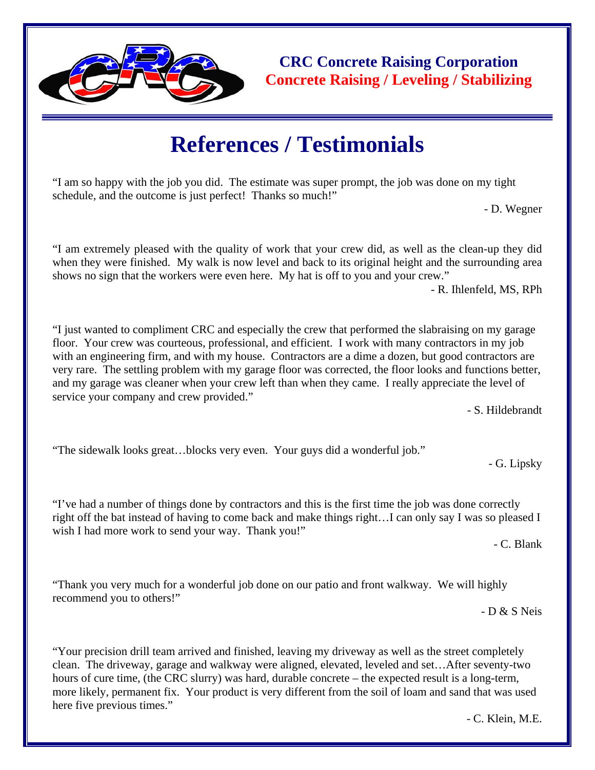

**CRC Concrete Raising Corporation Concrete Raising / Leveling / Stabilizing** 

## **References / Testimonials**

"I am so happy with the job you did. The estimate was super prompt, the job was done on my tight schedule, and the outcome is just perfect! Thanks so much!"

- D. Wegner

"I am extremely pleased with the quality of work that your crew did, as well as the clean-up they did when they were finished. My walk is now level and back to its original height and the surrounding area shows no sign that the workers were even here. My hat is off to you and your crew."

- R. Ihlenfeld, MS, RPh

"I just wanted to compliment CRC and especially the crew that performed the slabraising on my garage floor. Your crew was courteous, professional, and efficient. I work with many contractors in my job with an engineering firm, and with my house. Contractors are a dime a dozen, but good contractors are very rare. The settling problem with my garage floor was corrected, the floor looks and functions better, and my garage was cleaner when your crew left than when they came. I really appreciate the level of service your company and crew provided."

- S. Hildebrandt

"The sidewalk looks great…blocks very even. Your guys did a wonderful job."

- G. Lipsky

"I've had a number of things done by contractors and this is the first time the job was done correctly right off the bat instead of having to come back and make things right…I can only say I was so pleased I wish I had more work to send your way. Thank you!"

- C. Blank

"Thank you very much for a wonderful job done on our patio and front walkway. We will highly recommend you to others!"

- D & S Neis

"Your precision drill team arrived and finished, leaving my driveway as well as the street completely clean. The driveway, garage and walkway were aligned, elevated, leveled and set…After seventy-two hours of cure time, (the CRC slurry) was hard, durable concrete – the expected result is a long-term, more likely, permanent fix. Your product is very different from the soil of loam and sand that was used here five previous times."

- C. Klein, M.E.